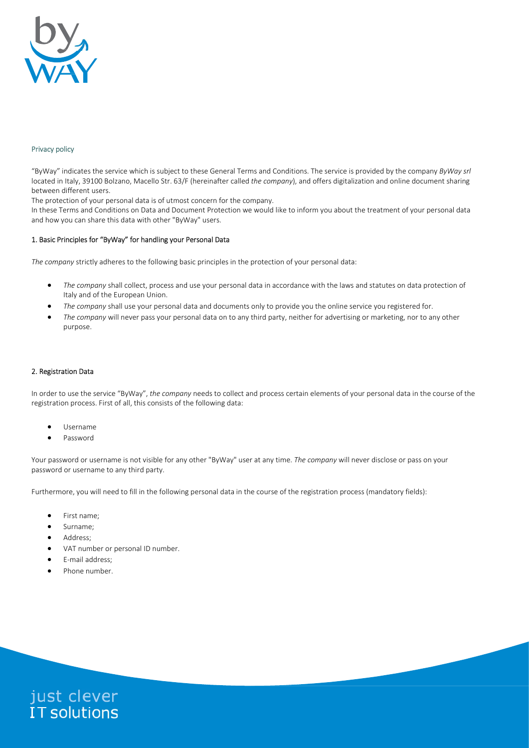

# Privacy policy

"ByWay" indicates the service which is subject to these General Terms and Conditions. The service is provided by the company ByWay srl located in Italy, 39100 Bolzano, Macello Str. 63/F (hereinafter called the company), and offers digitalization and online document sharing between different users.

The protection of your personal data is of utmost concern for the company.

In these Terms and Conditions on Data and Document Protection we would like to inform you about the treatment of your personal data and how you can share this data with other "ByWay" users.

### 1. Basic Principles for "ByWay" for handling your Personal Data

The company strictly adheres to the following basic principles in the protection of your personal data:

- The company shall collect, process and use your personal data in accordance with the laws and statutes on data protection of Italy and of the European Union.
- The company shall use your personal data and documents only to provide you the online service you registered for.
- The company will never pass your personal data on to any third party, neither for advertising or marketing, nor to any other purpose.

#### 2. Registration Data

In order to use the service "ByWay", the company needs to collect and process certain elements of your personal data in the course of the registration process. First of all, this consists of the following data:

- Username
- Password

Your password or username is not visible for any other "ByWay" user at any time. The company will never disclose or pass on your password or username to any third party.

Furthermore, you will need to fill in the following personal data in the course of the registration process (mandatory fields):

- First name;
- Surname;
- Address;
- VAT number or personal ID number.
- E-mail address;
- Phone number.

just clever<br>IT solutions